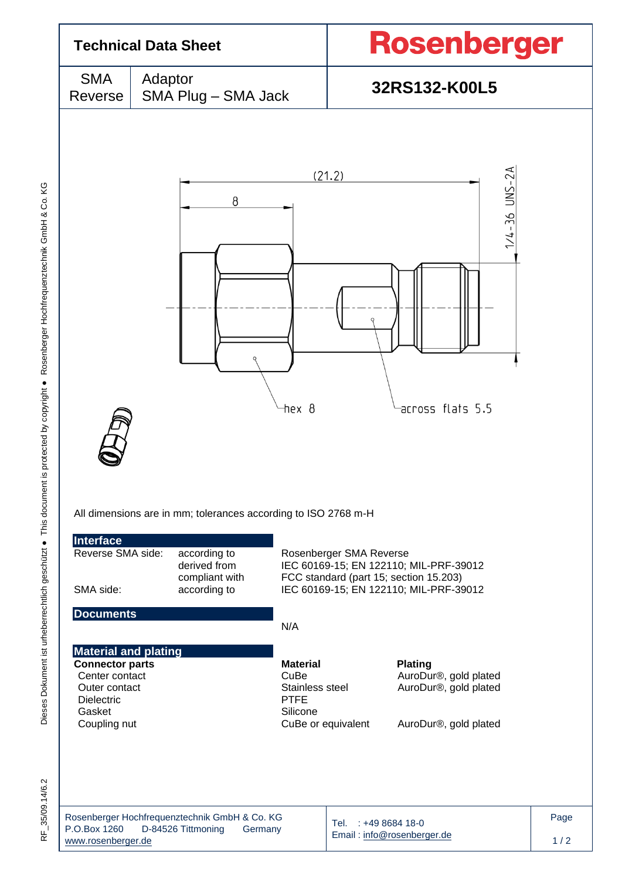

 $-35/09.14/6.2$  $\frac{1}{\alpha}$